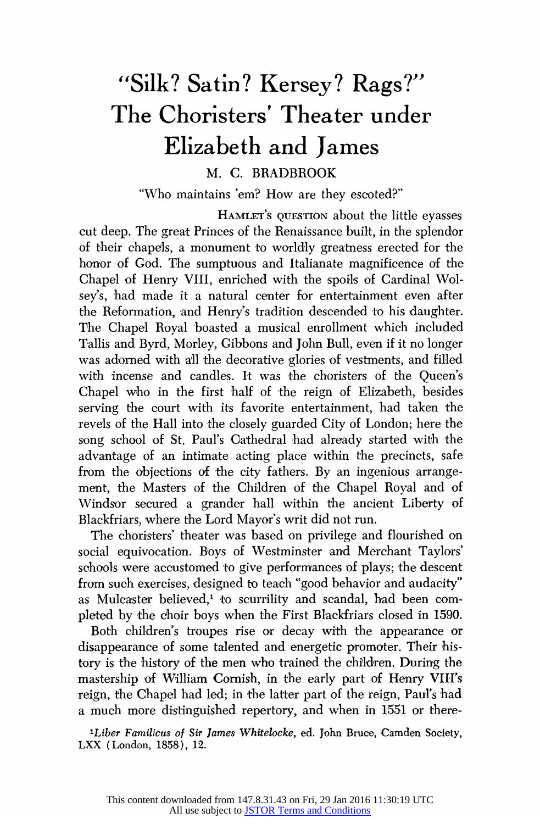## **"Silk? Satin? Kersey? Rags?" The Choristers' Theater under Elizabeth and James**

## **M. C. BRADBROOK**

**"Who maintains 'em? How are they escoted?"** 

**HAMLET S QUESTION about the little eyasses cut deep. The great Princes of the Renaissance built, in the splendor of their chapels, a monument to worldly greatness erected for the**  honor of God. The sumptuous and Italianate magnificence of the **Chapel of Henry VIII, enriched with the spoils of Cardinal Wolsey's, had made it a natural center for entertainment even after the Reformation, and Henry's tradition descended to his daughter. The Chapel Royal boasted a musical enrollment which included Tallis and Byrd, Morley, Gibbons and John Bull, even if it no longer was adorned with all the decorative glories of vestments, and filled with incense and candles. It was the choristers of the Queen's Chapel who in the first half of the reign of Elizabeth, besides serving the court with its favorite entertainment, had taken the revels of the Hall into the closely guarded City of London; here the song school of St. Paul's Cathedral had already started with the advantage of an intimate acting place within the precincts, safe from the objections of the city fathers. By an ingenious arrangement, the Masters of the Children of the Chapel Royal and of Windsor secured a grander hall within the ancient Liberty of Blackfriars, where the Lord Mayor's writ did not run.** 

**The choristers' theater was based on privilege and flourished on social equivocation. Boys of Westminster and Merchant Taylors' schools were accustomed to give performances of plays; the descent from such exercises, designed to teach "good behavior and audacity"**  as Mulcaster believed,<sup>1</sup> to scurrility and scandal, had been com**pleted by the choir boys when the First Blackfriars closed in 1590.** 

**Both children's troupes rise or decay with the appearance or disappearance of some talented and energetic promoter. Their history is the history of the men who trained the children. During the mastership of William Cornish, in the early part of Henry VIII's reign, the Chapel had led; in the latter part of the reign, Paul's had a much more distinguished repertory, and when in 1551 or there-** 

**'liber Familicus of Sir James Whitelocke, ed. John Bruce, Camden Society, LXX (London, 1858), 12.**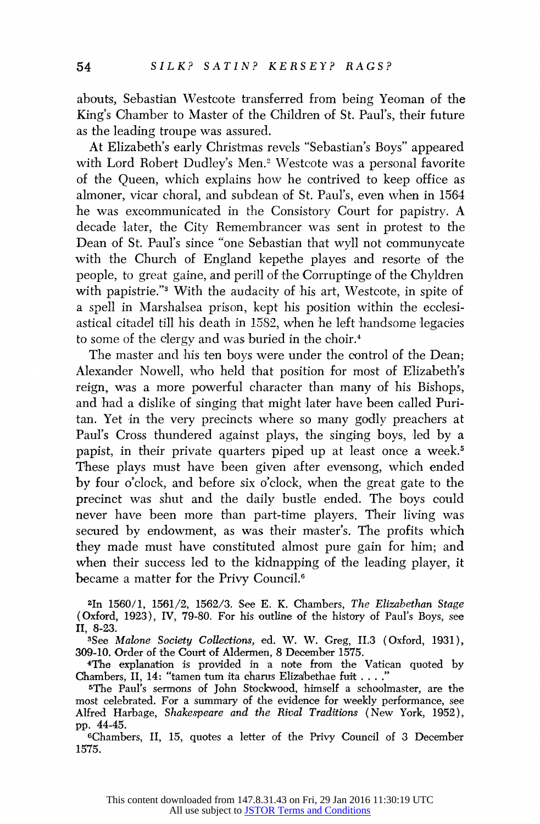abouts, Sebastian Westcote transferred from being Yeoman of the **King's Chamber to Master of the Children of St. Paul's, their future as the leading troupe was assured.** 

**At Elizabeth's early Christmas revels "Sebastian's Boys" appeared with Lord Robert Dudley's Men.2 Westcote was a personal favorite of the Queen, which explains how he contrived to keep office as almoner, vicar choral, and subdean of St. Paul's, even when in 1564 he was excommunicated in the Consistory Court for papistry. A decade later, the City Remembrancer was sent in protest to the Dean of St. Paul's since "one Sebastian that wyll not communycate**  with the Church of England kepethe playes and resorte of the **people, to great gaine, and perill of the Corruptinge of the Chyldren with papistrie."3 With the audacity of his art, Westcote, in spite of a spell in Marshalsea prison, kept his position within the ecclesiastical citadel till his death in 1582, when he left 'handsome legacies to some of the clergy and was buried in the choir.4** 

**The master and his ten boys were under the control of the Dean;**  Alexander Nowell, who held that position for most of Elizabeth's **reign, was a more powerful character than many of his Bishops,**  and had a dislike of singing that might later have been called Puri**tan. Yet in the very precincts where so many godly preachers at Paul's Cross thundered against plays, the singing boys, led by a papist, in their private quarters piped up at least once a week.5 These plays must have been given after evensong, which ended by four o'clock, and before six o'clock, when the great gate to the precinct was shut and the daily bustle ended. The boys could never have been more than part-time players. Their living was secured by endowment, as was their master's. The profits which they made must have constituted almost pure gain for him; and when their success led to the kidnapping of the leading player, it became a matter for the Privy Council.6** 

**2In 1560/1, 1561/2, 1562/3. See E. K. Chambers, The Elizabethan Stage (Oxford, 1923), IV, 79-80. For his outline of the history of Paul's Boys, see II, 8-23.** 

**3See Malone Society Collections, ed. W. W. Greg, 11.3 (Oxford, 1931), 309-10. Order of the Court of Aldermen, 8 December 1575.** 

**4The explanation is provided in a note from the Vatican quoted by Chambers, II, 14: "tamen turn ita charus Elizalbethae fuit ...."** 

**5The Paul's sernons of John Stockwood, himself a schoolmaster, are the most celebrated. For a summary of the evidence for weekly performance, see Alfred Harbage, Shakespeare and the Rival Traditions (New York, 1952), pp. 44-45.** 

**eChambers, II, 15, quotes a letter of the Privy Council of 3 December 1575.**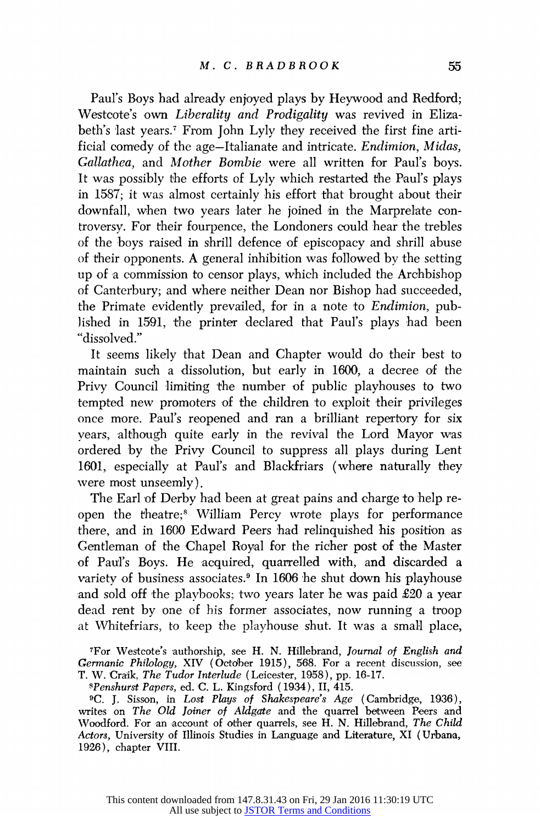**Paul's Boys had already enjoyed plays by Heywood and Redford;**  Westcote's own *Liberality and Prodigality* was revived in Eliza**beth's last years.7 From John Lyly they received the first fine artificial comedy of the age-Italianate and intricate. Endimion, Midas,**  Gallathea, and Mother Bombie were all written for Paul's boys. **It was possibly the efforts of Lyly which restarted the Paul's plays in 1587; it was almost certainly his effort that brought about their downfall, when two years later he joined in the Marprelate controversy. For their fourpence, the Londoners could hear the trebles of the boys raised in shrill defence of episcopacy and shrill abuse of their opponents. A general inhibition was followed by the setting up of a commission to censor plays, which included the Archbishop of Canterbury; and where neither Dean nor Bishop had succeeded, the Primate evidently prevailed, for in a note to Endimion, published in 1591, the printer declared that Paul's plays had been "dissolved."** 

**It seems likely that Dean and Chapter would do their best to maintain such a dissolution, but early in 1600, a decree of the Privy Council limiting the number of public playhouses to two tempted new promoters of the children to exploit their privileges once more. Paul's reopened and ran a brilliant repertory for six years, although quite early in the revival the Lord Mayor was ordered by the Privy Council to suppress all plays during Lent 1601, especially at Paul's and Blackfriars (where naturally they were most unseemly).** 

**The Earl of Derby had been at great pains and charge to help reopen the theatre;8 William Percy wrote plays for performance there, and in 1600 Edward Peers had relinquished his position as Gentleman of the Chapel Royal for the richer post of the Master of Paul's Boys. He acquired, quarrelled with, and discarded a variety of business associates.9 In 1606 he shut down his playhouse**  and sold off the playbooks; two years later he was paid £20 a year **dead rent by one of his former associates, now running a troop at XVhitefriars, to keep the playhouse shut. It was a small place,** 

**7For Westcote's authorship, see H. N. Hillebrand, Journal of English and**  Germanic Philology, XIV (October 1915), 568. For a recent discussion, see **T. W. Craik, The Tudor Interlude (Leicester, 1958), pp. 16-17.** 

**sPenshurst Papers, ed. C. L. Kingsford (1934), II, 415.** 

**aC. J. Sisson, in Lost Plays of Shakespeare's Age (Cambridge, 1936), writes on The Old Joiner of Aldgate and the quarrel between Peers and Woodford. For an account of other quarrels, see H. N. Hillebrand, The Child Actors, University of Illinois Studies in Language and Literature, XI (Urbana, 1926), chapter VIII.**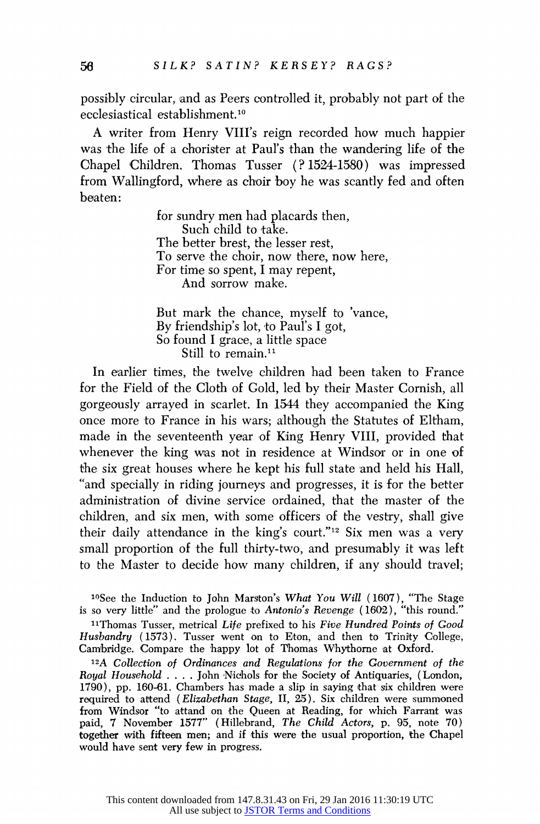**possibly circular, and as Peers controlled it, probably not part of the ecclesiastical establishment.10** 

**A writer from Henry VIII's reign recorded how much happier was the life of a chorister at Paul's than the wandering life of the Chapel Children. Thomas Tusser (?1524-1580) was impressed from Wallingford, where as choir boy he was scantly fed and often beaten:** 

> **for sundry men had placards then, Such child to take. The better brest, the lesser rest, To serve the choir, now there, now here, For time so spent, I may repent, And sorrow make.**

> **But mark the chance, myself to 'vance, By friendship's lot, to Paul's I got, So found I grace, a little space Still to remain.11**

**In earlier times, the twelve children had been taken to France for the Field of the Cloth of Gold, led by their Master Cornish, all gorgeously arrayed in scarlet. In 1544 they accompanied the King once more to France in his wars; although the Statutes of Eltham, made in the seventeenth year of King Henry VIII, provided that whenever the king was not in residence at Windsor or in one of the six great houses where he kept his full state and held his Hall, "and specially in riding journeys and progresses, it is for the better administration of divine service ordained, that the master of the children, and six men, with some officers of the vestry, shall give their daily attendance in the king's court."12 Six men was a very small proportion of the full thirty-two, and presumably it was left to the Master to decide how many children, if any should travel;** 

**'0See the Induction to John Marston's What You Will (1607), "The Stage is so very little" and the prologue to Antonio's Revenge (1602), "this round."** 

<sup>11</sup>Thomas Tusser, metrical Life prefixed to his Five Hundred Points of Good Husbandry (1573). Tusser went on to Eton, and then to Trinity College, **Cambridge. Compare the happy lot of Thomas Whythome at Oxford.** 

**12A Collection of Ordinances and Regulations for the Government of the Royal Household .... John Nidhols for the Society of Antiquaries, (London, 1790), pp. 160-61. Chambers has made a slip in saying that six children were required to attend (Elizabethan Stage, II, 25). Six children were summoned from Windsor "to attand on the Queen at Reading, for which Farrant was**  paid, 7 November 1577" (Hillebrand, The Child Actors, p. 95, note 70) **together with fifteen men; and if this were the usual proportion, the Chapel would have sent very few in progress.** 

**56**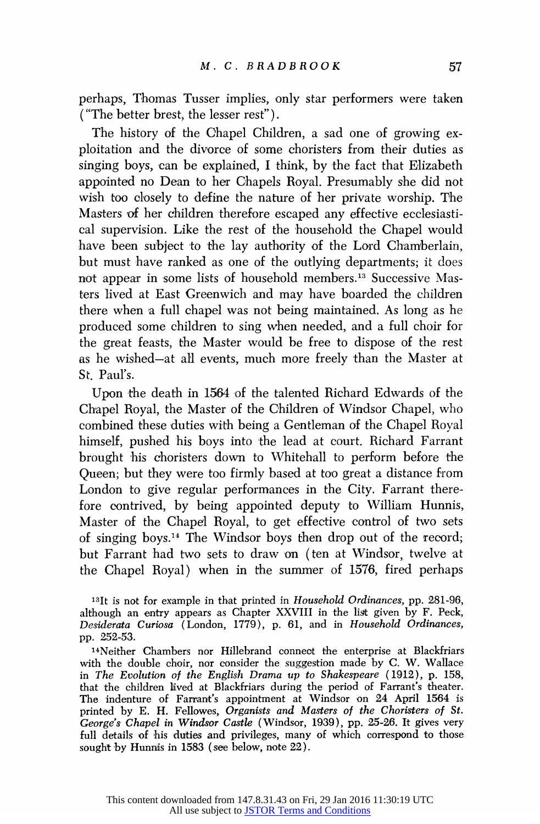**perhaps, Thomas Tusser implies, only star performers were taken ("The better brest, the lesser rest").** 

**The history of the Chapel Children, a sad one of growing exploitation and the divorce of some choristers from their duties as singing boys, can be explained, I think, by the fact that Elizabeth appointed no Dean to her Chapels Royal. Presumably she did not wish too closely to define the nature of her private worship. The Masters of her children therefore escaped any effective ecclesiastical supervision. Like the rest of the household the Chapel would have been subject to the lay authority of the Lord Chamberlain, but must have ranked as one of the outlying departments; it does not appear in some lists of household members.13 Successive Masters lived at East Greenwich and may have boarded the children there when a full chapel was not being maintained. As long as he produced some children to sing when needed, and a full choir for the great feasts, the Master would be free to dispose of the rest as he wished-at all events, much more freely than the Master at St. Paul's.** 

**Upon the death in 1564 of the talented Richard Edwards of the Chapel Royal, the Master of the Children of Windsor Chapel, who combined these duties with being a Gentleman of the Chapel Royal himself, pushed his boys into the lead at court. Richard Farrant brought his choristers down to Whitehall to perform before the Queen; but they were too firmly based at too great a distance from**  London to give regular performances in the City. Farrant there**fore contrived, by being appointed deputy to William Hunnis, Master of the Chapel Royal, to get effective control of two sets of singing boys.14 The Windsor boys then drop out of the record; but Farrant had two sets to draw on (ten at Windsor, twelve at the Chapel Royal) when in the summer of 1576, fired perhaps** 

**'3It is not for example in that printed in Household Ordinances, pp. 281-96, although an entry appears as Chapter XXVIII in the list given by F. Peck, Desiderata Curiosa (London, 1779), p. 61, and in Household Ordinances, pp. 252-53.** 

**'4Neither Chambers nor Hillebrand connect the enterprise at Blackfriars with the double choir, nor consider the suggestion made by C. W. Wallace in The Evolution of the English Drama up to Shakespeare (1912), p. 158, that the children lived at Blackfriars during the period of Farrant's theater. The indenture of Farrant's appointment at Windsor on 24 April 1564 is printed by E. H. Fellowes, Organists and Masters of the Choristers of St. George's Chapel in Windsor Castle (Windsor, 1939), pp. 25-26. It gives very full details of his duties and privileges, many of which correspond to those**  sought by Hunnis in 1583 (see below, note 22).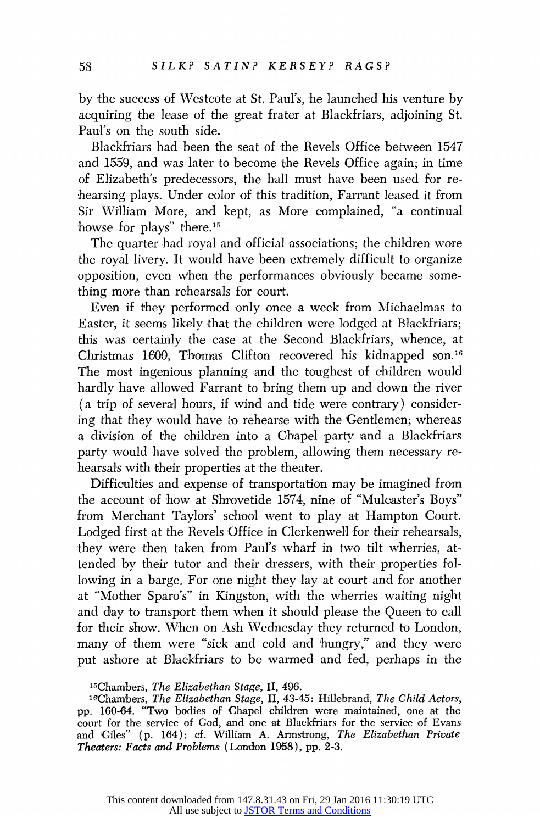**by the success of Westcote at St. Paul's, he launched his venture by acquiring the lease of the great frater at Blackfriars, adjoining St. Paul's on the south side.** 

**Blackfriars had been the seat of the Revels Office between 1547 and 1559, and was later to become the Revels Office again; in time of Elizabeth's predecessors, the hall must have been used for rehearsing plays. Under color of this tradition, Farrant leased it from Sir William More, and kept, as More complained, "a continual howse for plays" there.15** 

The quarter had royal and official associations; the children wore **the royal livery. It would have been extremely difficult to organize opposition, even when the performances obviously became something more than rehearsals for court.** 

Even if they performed only once a week from Michaelmas to **Easter, it seems likely that the children were lodged at Blackfriars; this was certainly the case at the Second Blackfriars, whence, at Christmas 1E00, Thomas Clifton recovered his kidnapped son.16 The most ingenious planning and the toughest of children would hardly have allowed Farrant to bring them up and down the river (a trip of several hours, if wind and tide were contrary) considering that they would have to rehearse with the Gentlemen; whereas a division of the children into a Chapel party and a Blackfriars party would have solved the problem, allowing them necessary rehearsals with their properties at the theater.** 

**Difficulties and expense of transportation may be imagined from the account of how at Shrovetide 1574, nine of "Mulcaster's Boys"**  from Merchant Taylors' school went to play at Hampton Court. **Lodged first at the Revels Office in Clerkenwell for their rehearsals, they were then taken from Paul's wharf in two tilt wherries, attended by their tutor and their dressers, with their properties following in a barge. For one night they lay at court and for another at "Mother Sparo's" in Kingston, with the wherries waiting night**  and day to transport them when it should please the Queen to call **for their show. When on Ash Wednesday they returned to London, many of them were "sick and cold and hungry," and they were put ashore at Blackfriars to be warmed and fed, perhaps in the** 

<sup>15</sup>Chambers, The Elizabethan Stage, II, 496.

**6'Chambers, The Elizabethan Stage, II, 43-45: Hillebrand, The Child Actors, pp. 160-64. "Two bodies of Chapel children were maintained, one at the court for the service of God, and one at Blackfriars for the service of Evans and Giles" (p. 164); cf. William A. Armsrong, The Elizabethan Private Theaters: Facts and Problems (London 1958), pp. 2-3.** 

**58**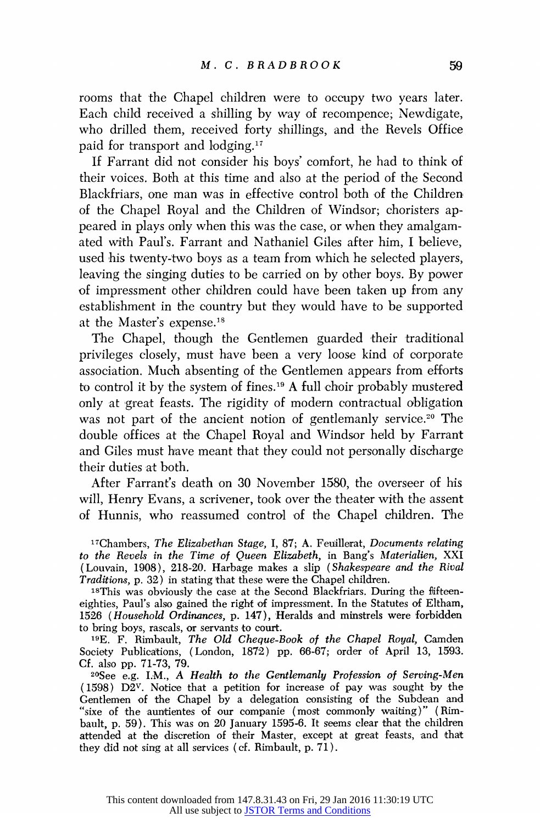**rooms that the Chapel children were to occupy two years later. Each child received a shilling by way of recompence; Newdigate, who drilled them, received forty shillings, and the Revels Office paid for transport and lodging.17** 

**If Farrant did not consider his boys' comfort, he had to think of their voices. Both at this time and also at the period of the Second Blackfriars, one man was in effective control both of the Children of the Chapel Royal and the Children of Windsor; choristers appeared in plays only when this was the case, or when they amalgamated with Paul's. Farrant and Nathaniel Giles after him, I believe, used his twenty-two boys as a team from which he selected players, leaving the singing duties to be carried on by other boys. By power of impressment other children could have been taken up from any establishment in the country but they would have to be supported at the Master's expense.18** 

**The Chapel, though the Gentlemen guarded their traditional privileges closely, must have been a very loose kind of corporate association. Much absenting of the Gentlemen appears from efforts to control it by the system of fines.19 A full choir probably mustered only at great feasts. The rigidity of modern contractual obligation**  was not part of the ancient notion of gentlemanly service.<sup>20</sup> The **double offices at the Chapel Royal and Windsor held by Farrant and Giles must have meant that they could not personally discharge their duties at both.** 

**After Farrant's death on 30 November 1580, the overseer of his will, Henry Evans, a scrivener, took over the theater with the assent of Hunnis, who reassumed control of the Chapel children. The** 

**'7Chambers, The Elizabethan Stage, I, 87; A. Feuillerat, Documents relating to the Revels in the Time of Queen Elizabeth, in Bang's Materialien, XXI**  (Louvain, 1908), 218-20. Harbage makes a slip (Shakespeare and the Rival Traditions, p. 32) in stating that these were the Chapel children.

**l8This was obviously the case at the Second Blackfriars. During the fifteeneighties, Paul's also gained the right of impressment. In the Statutes of Eltham, 1526 (Household Ordinances, p. 147), Heralds and minstrels were forbidden to bring boys, rascals, or servants to court.** 

<sup>19</sup>E. F. Rimbault, The Old Cheque-Book of the Chapel Royal, Camden **Society Publications, (London, 1872) pp. 66-67; order of April 13, 1593. Cf. also pp. 71-73, 79.** 

**20See e.g. I.M., A Health to the Gentlemanly Profession of Serving-Men (1598) D2v. Notice that a petition for increase of pay was sought by the Gentlemen of the Chapel by a delegation consisting of the Subdean and "sixe of the auntientes of our companie (most commonly waiting)" (Rimbault, p. 59). This was on 20 January 1595-6. It seems clear that the children attended at the discretion of their Master, except at great feasts, and that they did not sing at all services (cf. Rimbault, p. 71).**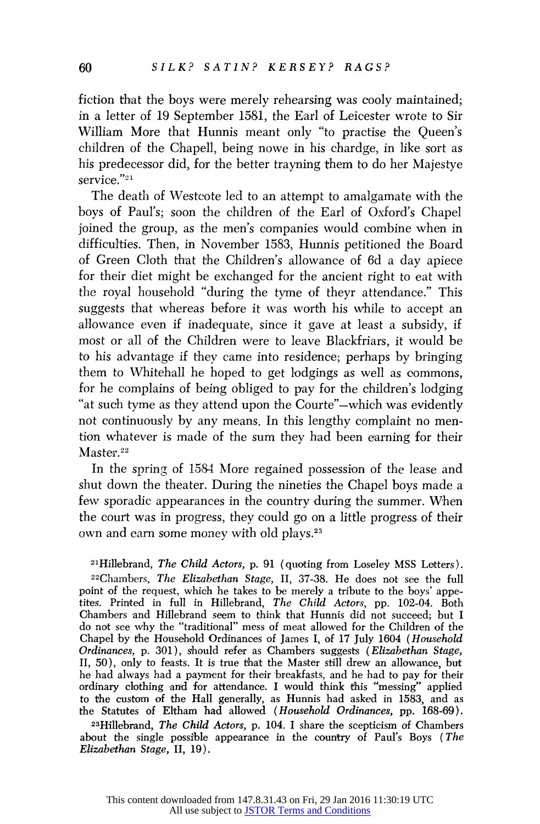**fiction that the boys were merely rehearsing was cooly maintained; in a letter of 19 September 1581, the Earl of Leicester wrote to Sir William More that Hunnis meant only "to practise the Queen's children of the Chapell, being nowe in his chardge, in like sort as his predecessor did, for the better trayning them to do her Majestye**  service."<sup>21</sup>

**The death of Westcote led to an attempt to amalgamate with the boys of Paul's; soon the children of the Earl of Oxford's Chapel joined the group, as the men's companies would combine when in difficulties. Then, in November 1583, Hunnis petitioned the Board of Green Cloth that the Children's allowance of 6d a day apiece for their diet might be exchanged for the ancient right to eat with the royal household "during the tyme of theyr attendance." This suggests that whereas before it was worth his while to accept an allowance even if inadequate, since it gave at least a subsidy, if most or all of the Children were to leave Blackfriars, it would be to his advantage if they came into residence; perhaps by bringing them to Whitehall he hoped to get lodgings as well as commons, for he complains of being obliged to pay for the children's lodging "at such tyme as they attend upon the Courte"-which was evidently not continuously by any means. In this lengthy complaint no mention whatever is made of the sum they had been earning for their Master.22** 

**In the spring of 1584 More regained possession of the lease and shut down the theater. During the nineties the Chapel boys made a few sporadic appearances in the country during the summer. When the court was in progress, they could go on a little progress of their own and earn some money with old plays.23** 

**2iHillebrand, The Child Actors, p. 91 (quoting from Loseley MSS Letters). 22Chambers, The Elizabethan Stage, II, 37-38. He does not see the full point of the request, which he takes to be merely a tribute to the boys' appetites. Printed in full in Hillebrand, The Child Actors, pp. 102-04. Both Chambers and Hillebrand seem to think that Hunnis did not succeed; but I do not see why the "traditional" mess of meat allowed for the Children of the Chapel by the Household Ordinances of James I, of 17 July 1604 (Household Ordinances, p. 301), should refer as Chambers suggests (Elizabethan Stage, II, 50), only to feasts. It is true that the Master still drew an allowance, but he had always had a payment for their breakfasts, and he had to pay for their ordinary clothing and for attendance. I would think this "messing" applied to the custom of the Hall generally, as Hunnis had asked in 1583, and as the Statutes of Eltham had allowed (Household Ordinances, pp. 168-69).** 

**23Hillebrand, The Child Actors, p. 104. I share the scepticism of Chambers about the single possible appearance in the country of Paul's Boys (The Elizabethan Stage, II, 19).**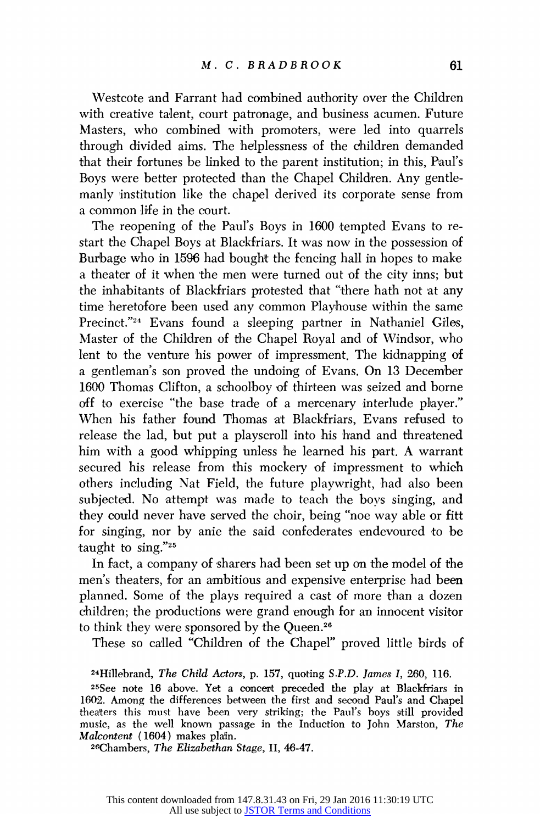**Westcote and Farrant had combined authority over the Children with creative talent, court patronage, and business acumen. Future Masters, who combined with promoters, were led into quarrels through divided aims. The helplessness of the children demanded that their fortunes be linked to the parent institution; in this, Paul's Boys were better protected than the Chapel Children. Any gentlemanly institution like the chapel derived its corporate sense from a common life in the court.** 

**The reopening of the Paul's Boys in 1600 tempted Evans to restart the Chapel Boys at Blackfriars. It was now in the possession of Burbage who in 1596 had bought the fencing hall in hopes to make a theater of it when the men were turned out of the city inns; but the inhabitants of Blackfriars protested that "there hath not at any time heretofore been used any common Playhouse within the same Precinct."24 Evans found a sleeping partner in Nathaniel Giles, Master of the Children of the Chapel Royal and of Windsor, who lent to the venture his power of impressment. The kidnapping of a gentleman's son proved the undoing of Evans. On 13 December 1600 Thomas Clifton, a schoolboy of thirteen was seized and borne off to exercise "the base trade of a mercenary interlude player." When his father found Thomas at Blackfriars, Evans refused to release the lad, but put a playscroll into his hand and threatened him with a good whipping unless he learned his part. A warrant secured his release from this mockery of impressment to which others including Nat Field, the future playwright, had also been subjected. No attempt was made to teach the boys singing, and they could never have served the choir, being "noe way able or fitt for singing, nor by anie the said confederates endevoured to be taught to sing."25** 

**In fact, a company of sharers had been set up on the model of the men's theaters, for an ambitious and expensive enterprise had been planned. Some of the plays required a cast of more than a dozen children; the productions were grand enough for an innocent visitor to think they were sponsored by the Queen.26** 

**These so called "Children of the Chapel" proved little birds of** 

**24Hillebrand, The Child Actors, p. 157, quoting S.P.D. James 1, 260, 116.** 

**2sSee note 16 above. Yet a concert preceded the play at Blackfriars in 1602. Among the differences between the first and second Paul's and Chapel theaters this must have been very striking; the Paul's boys still provided**  music, as the well known passage in the Induction to John Marston, The **Malcontent (1604) makes plain.** 

**26Chambers, The Elizabethan Stage, II, 46-47.**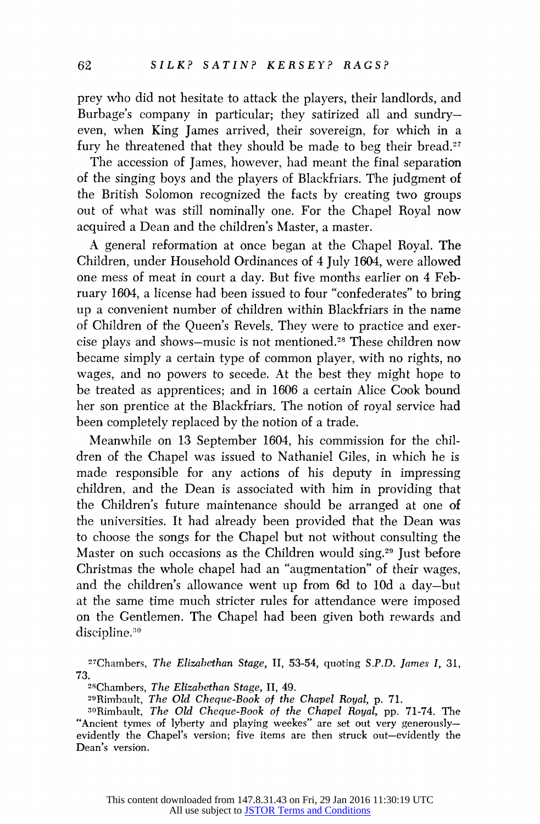**prey ywho did not hesitate to attack the players, their landlords, and Burbage's company in particular; they satirized all and sundryeven, when King James arrived, their sovereign, for which in a fury he threatened that they should be made to beg their bread.27** 

**The accession of James, however, had meant the final separation of the singing boys and the players of Blackfriars. The judgment of the British Solomon recognized the facts by creating two groups out of what was still nominally one. For the Chapel Royal now acquired a Dean and the children's Master, a master.** 

**A general reformation at once began at the Chapel Royal. The Children, under Household Ordinances of 4 July 1604, were allowed one mess of meat in court a day. But five months earlier on 4 February 1604, a license had been issued to four "confederates" to bring up a convenient number of children within Blackfriars in the name of Children of the Queen's Revels. They were to practice and exercise plays and shows-music is not mentioned.28 These children now became simply a certain type of common player, with no rights, no wages, and no powers to secede. At the best they might hope to be treated as apprentices; and in 1606 a certain Alice Cook bound her son prentice at the Blackfriars. The notion of royal service had been completely replaced by the notion of a trade.** 

**Meanwhile on 13 September 1604, his commission for the children of the Chapel was issued to Nathaniel Giles, in which he is made responsible for any actions of his deputy in impressing children, and the Dean is associated with him in providing that the Children's future maintenance should be arranged at one of the universities. It had already been provided that the Dean was to choose the songs for the Chapel but not without consulting the Master on such occasions as the Children would sing.29 Just before Christmas the whole chapel had an "augmentation" of their wages, and the children's allowance went up from 6d to lOd a day-but at the same time much stricter rules for attendance were imposed on the Gentlemen. The Chapel had been given both rewards and**  discipline.<sup>30</sup>

**27Chambers, The Elizabethan Stage, II, 53-54, quoting S.P.D. James I, 31, 73.** 

**2sChambers, The Elizabethan Stage, II, 49.** 

**29Rimbault, The Old Cheque-Book of the Chapel Royal, p. 71.** 

**2oRimbault, The Old Cheque-Book of the Chapel Royal, pp. 71-74. The "Ancient tymes of lyberty and playing weekes" are set out very generouslyevidently the Chapel's version; five items are then struck out-evidently the Dean's version.**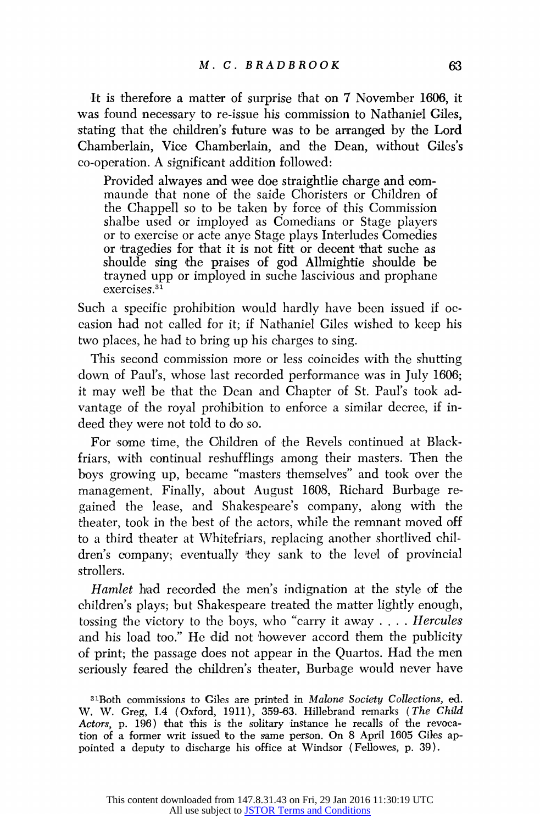**It is therefore a matter of surprise that on 7 November 1606, it was found necessary to re-issue his commission to Nathaniel Giles, stating that the children's future was to be arranged by the Lord Chamberlain, Vice Chamberlain, and the Dean, without Giles's co-operation. A significant addition followed:** 

**Provided alwayes and wee doe straightlie charge and commaunde that none of the saide Choristers or Children of the Chappell so to be taken by force of this Commission shalbe used or imployed as Comedians or Stage players or to exercise or acte anye Stage plays Interludes Comedies or Itragedies for that it is not fitt or decent that suche as shoulde sing the praises of god Allmightie shoulde be trayned upp or imployed in suche lascivious and prophane exercises.31** 

**Such a specific prohibition would hardly have been issued if occasion had not called for it; if Nathaniel Giles wished to keep his two places, he had to bring up his charges to sing.** 

**This second commission more or less coincides with the shutting down of Paul's, whose last recorded performance was in July 1606; it may well be that the Dean and Chapter of St. Paul's took advantage of the royal prohibition to enforce a similar decree, if indeed they were not told to do so.** 

**For some time, the Children of the Revels continued at Blackfriars, with continual reshufflings among their masters. Then the boys growing up, became "masters themselves" and took over the management. Finally, about August 1608, Richard Burbage regained the lease, and Shakespeare's company, along with the theater, took in the best of the actors, while the remnant moved off to a third theater at Whitefriars, replacing another shortlived chil**dren's company; eventually they sank to the level of provincial **strollers.** 

**Hamlet had recorded the men's indignation at the style of the children's plays; but Shakespeare treated the matter lightly enough, tossing the victory to the boys, who "carry it away .... Hercules and his load too." He did not however accord them the publicity of print; the passage does not appear in the Quartos. Had the men seriously feared the children's theater, Burbage would never have** 

**3'Both commissions to Giles are printed in Malone Society Collections, ed. W. W. Greg, 1.4 (Oxford, 1911), 359-63. Hillebrand remarks (The Child Actors, p. 196) that this is the solitary instance he recalls of the revocation of a former writ issued to the same person. On 8 April 1605 Giles appointed a deputy to discharge his office at Windsor (Fellowes, p. 39).**